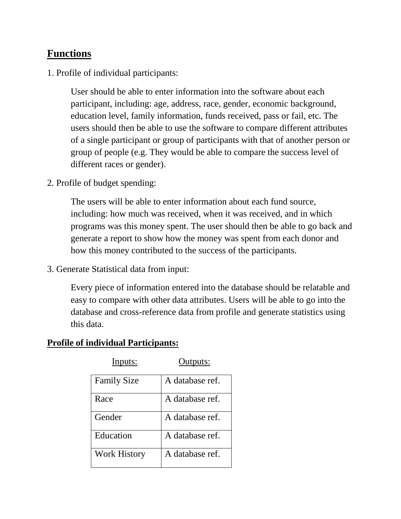## **Functions**

1. Profile of individual participants:

User should be able to enter information into the software about each participant, including: age, address, race, gender, economic background, education level, family information, funds received, pass or fail, etc. The users should then be able to use the software to compare different attributes of a single participant or group of participants with that of another person or group of people (e.g. They would be able to compare the success level of different races or gender).

2. Profile of budget spending:

The users will be able to enter information about each fund source, including: how much was received, when it was received, and in which programs was this money spent. The user should then be able to go back and generate a report to show how the money was spent from each donor and how this money contributed to the success of the participants.

3. Generate Statistical data from input:

Every piece of information entered into the database should be relatable and easy to compare with other data attributes. Users will be able to go into the database and cross-reference data from profile and generate statistics using this data.

## **Profile of individual Participants:**

| <b>Family Size</b>  | A database ref. |
|---------------------|-----------------|
| Race                | A database ref. |
| Gender              | A database ref. |
| Education           | A database ref. |
| <b>Work History</b> | A database ref. |

Inputs: Outputs: